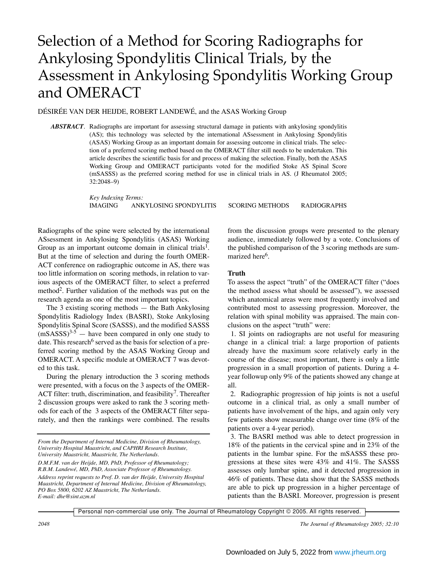# Selection of a Method for Scoring Radiographs for Ankylosing Spondylitis Clinical Trials, by the Assessment in Ankylosing Spondylitis Working Group and OMERACT

DÉSIRÉE VAN DER HEIJDE, ROBERT LANDEWÉ, and the ASAS Working Group

*ABSTRACT*. Radiographs are important for assessing structural damage in patients with ankylosing spondylitis (AS); this technology was selected by the international ASsessment in Ankylosing Spondylitis (ASAS) Working Group as an important domain for assessing outcome in clinical trials. The selection of a preferred scoring method based on the OMERACT filter still needs to be undertaken. This article describes the scientific basis for and process of making the selection. Finally, both the ASAS Working Group and OMERACT participants voted for the modified Stoke AS Spinal Score (mSASSS) as the preferred scoring method for use in clinical trials in AS. (J Rheumatol 2005; 32:2048–9)

> *Key Indexing Terms:*  IMAGING ANKYLOSING SPONDYLITIS SCORING METHODS RADIOGRAPHS

Radiographs of the spine were selected by the international ASsessment in Ankylosing Spondylitis (ASAS) Working Group as an important outcome domain in clinical trials<sup>1</sup>. But at the time of selection and during the fourth OMER-ACT conference on radiographic outcome in AS, there was too little information on scoring methods, in relation to various aspects of the OMERACT filter, to select a preferred method<sup>2</sup>. Further validation of the methods was put on the research agenda as one of the most important topics.

The 3 existing scoring methods — the Bath Ankylosing Spondylitis Radiology Index (BASRI), Stoke Ankylosing Spondylitis Spinal Score (SASSS), and the modified SASSS  $(mSASSS)^{3.5}$  — have been compared in only one study to date. This research<sup>6</sup> served as the basis for selection of a preferred scoring method by the ASAS Working Group and OMERACT. A specific module at OMERACT 7 was devoted to this task.

During the plenary introduction the 3 scoring methods were presented, with a focus on the 3 aspects of the OMER-ACT filter: truth, discrimination, and feasibility<sup>7</sup>. Thereafter 2 discussion groups were asked to rank the 3 scoring methods for each of the 3 aspects of the OMERACT filter separately, and then the rankings were combined. The results

*D.M.F.M. van der Heijde, MD, PhD, Professor of Rheumatology; R.B.M. Landewé, MD, PhD, Associate Professor of Rheumatology.*

*Address reprint requests to Prof. D. van der Heijde, University Hospital Maastricht, Department of Internal Medicine, Division of Rheumatology, PO Box 5800, 6202 AZ Maastricht, The Netherlands. E-mail: dhe@sint.azm.nl*

from the discussion groups were presented to the plenary audience, immediately followed by a vote. Conclusions of the published comparison of the 3 scoring methods are summarized here<sup>6</sup>.

#### **Truth**

To assess the aspect "truth" of the OMERACT filter ("does the method assess what should be assessed"), we assessed which anatomical areas were most frequently involved and contributed most to assessing progression. Moreover, the relation with spinal mobility was appraised. The main conclusions on the aspect "truth" were:

1. SI joints on radiographs are not useful for measuring change in a clinical trial: a large proportion of patients already have the maximum score relatively early in the course of the disease; most important, there is only a little progression in a small proportion of patients. During a 4 year followup only 9% of the patients showed any change at all.

2. Radiographic progression of hip joints is not a useful outcome in a clinical trial, as only a small number of patients have involvement of the hips, and again only very few patients show measurable change over time (8% of the patients over a 4-year period).

3. The BASRI method was able to detect progression in 18% of the patients in the cervical spine and in 23% of the patients in the lumbar spine. For the mSASSS these progressions at these sites were 43% and 41%. The SASSS assesses only lumbar spine, and it detected progression in 46% of patients. These data show that the SASSS methods are able to pick up progression in a higher percentage of patients than the BASRI. Moreover, progression is present

Personal non-commercial use only. The Journal of Rheumatology Copyright © 2005. All rights reserved.

*2048 The Journal of Rheumatology 2005; 32:10*

*From the Department of Internal Medicine, Division of Rheumatology, University Hospital Maastricht, and CAPHRI Research Institute, University Maastricht, Maastricht, The Netherlands.*